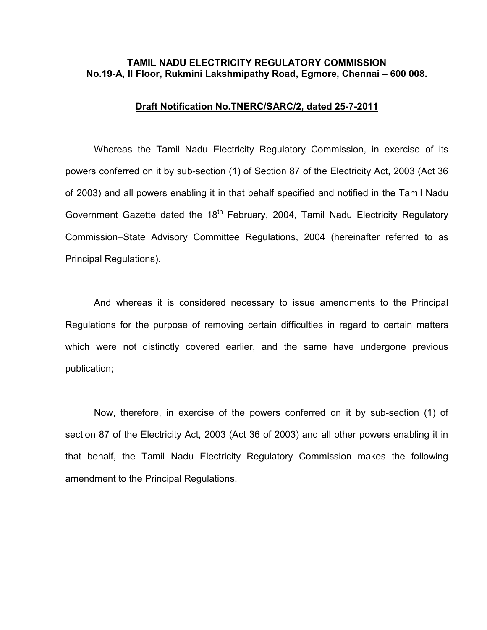#### TAMIL NADU ELECTRICITY REGULATORY COMMISSION No.19-A, II Floor, Rukmini Lakshmipathy Road, Egmore, Chennai – 600 008.

#### Draft Notification No.TNERC/SARC/2, dated 25-7-2011

 Whereas the Tamil Nadu Electricity Regulatory Commission, in exercise of its powers conferred on it by sub-section (1) of Section 87 of the Electricity Act, 2003 (Act 36 of 2003) and all powers enabling it in that behalf specified and notified in the Tamil Nadu Government Gazette dated the 18<sup>th</sup> February, 2004, Tamil Nadu Electricity Regulatory Commission–State Advisory Committee Regulations, 2004 (hereinafter referred to as Principal Regulations).

 And whereas it is considered necessary to issue amendments to the Principal Regulations for the purpose of removing certain difficulties in regard to certain matters which were not distinctly covered earlier, and the same have undergone previous publication;

 Now, therefore, in exercise of the powers conferred on it by sub-section (1) of section 87 of the Electricity Act, 2003 (Act 36 of 2003) and all other powers enabling it in that behalf, the Tamil Nadu Electricity Regulatory Commission makes the following amendment to the Principal Regulations.